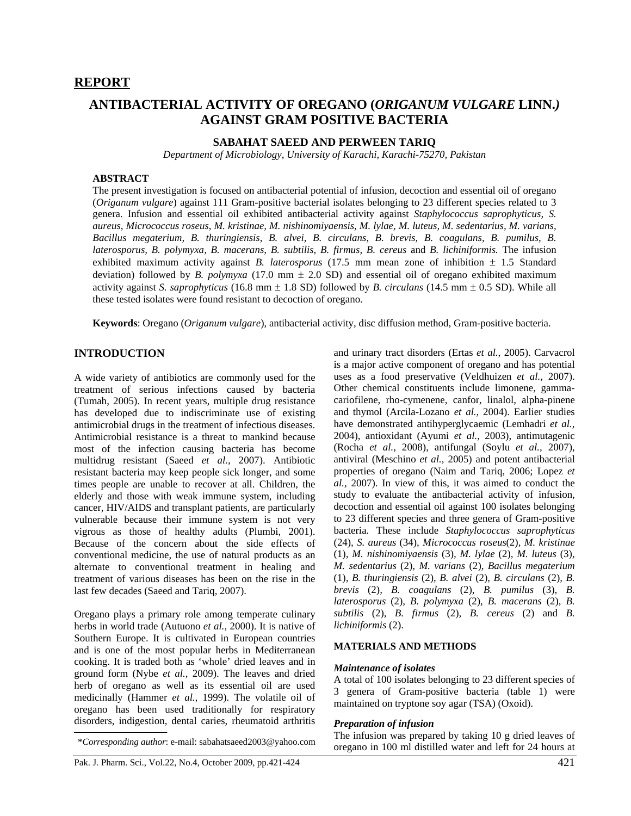# **ANTIBACTERIAL ACTIVITY OF OREGANO (***ORIGANUM VULGARE* **LINN.***)*  **AGAINST GRAM POSITIVE BACTERIA**

# **SABAHAT SAEED AND PERWEEN TARIQ**

*Department of Microbiology, University of Karachi, Karachi-75270, Pakistan* 

#### **ABSTRACT**

The present investigation is focused on antibacterial potential of infusion, decoction and essential oil of oregano (*Origanum vulgare*) against 111 Gram-positive bacterial isolates belonging to 23 different species related to 3 genera. Infusion and essential oil exhibited antibacterial activity against *Staphylococcus saprophyticus, S. aureus, Micrococcus roseus, M. kristinae, M. nishinomiyaensis, M. lylae, M. luteus, M. sedentarius, M. varians, Bacillus megaterium, B. thuringiensis, B. alvei, B. circulans, B. brevis, B. coagulans, B. pumilus, B. laterosporus, B. polymyxa, B. macerans, B. subtilis, B. firmus, B. cereus* and *B. lichiniformis.* The infusion exhibited maximum activity against *B. laterosporus* (17.5 mm mean zone of inhibition  $\pm$  1.5 Standard deviation) followed by *B. polymyxa* (17.0 mm  $\pm$  2.0 SD) and essential oil of oregano exhibited maximum activity against *S. saprophyticus* (16.8 mm ± 1.8 SD) followed by *B. circulans* (14.5 mm ± 0.5 SD). While all these tested isolates were found resistant to decoction of oregano.

**Keywords**: Oregano (*Origanum vulgare*), antibacterial activity, disc diffusion method, Gram-positive bacteria.

#### **INTRODUCTION**

A wide variety of antibiotics are commonly used for the treatment of serious infections caused by bacteria (Tumah, 2005). In recent years, multiple drug resistance has developed due to indiscriminate use of existing antimicrobial drugs in the treatment of infectious diseases. Antimicrobial resistance is a threat to mankind because most of the infection causing bacteria has become multidrug resistant (Saeed *et al.,* 2007). Antibiotic resistant bacteria may keep people sick longer, and some times people are unable to recover at all. Children, the elderly and those with weak immune system, including cancer, HIV/AIDS and transplant patients, are particularly vulnerable because their immune system is not very vigrous as those of healthy adults (Plumbi, 2001). Because of the concern about the side effects of conventional medicine, the use of natural products as an alternate to conventional treatment in healing and treatment of various diseases has been on the rise in the last few decades (Saeed and Tariq, 2007).

Oregano plays a primary role among temperate culinary herbs in world trade (Autuono *et al.,* 2000). It is native of Southern Europe. It is cultivated in European countries and is one of the most popular herbs in Mediterranean cooking. It is traded both as 'whole' dried leaves and in ground form (Nybe *et al.,* 2009). The leaves and dried herb of oregano as well as its essential oil are used medicinally (Hammer *et al.,* 1999). The volatile oil of oregano has been used traditionally for respiratory disorders, indigestion, dental caries, rheumatoid arthritis

and urinary tract disorders (Ertas *et al.,* 2005). Carvacrol is a major active component of oregano and has potential uses as a food preservative (Veldhuizen *et al.,* 2007). Other chemical constituents include limonene, gammacariofilene, rho-cymenene, canfor, linalol, alpha-pinene and thymol (Arcila-Lozano *et al.,* 2004). Earlier studies have demonstrated antihyperglycaemic (Lemhadri *et al.,* 2004), antioxidant (Ayumi *et al.,* 2003), antimutagenic (Rocha *et al.,* 2008), antifungal (Soylu *et al.,* 2007), antiviral (Meschino *et al.,* 2005) and potent antibacterial properties of oregano (Naim and Tariq, 2006; Lopez *et al.,* 2007). In view of this, it was aimed to conduct the study to evaluate the antibacterial activity of infusion, decoction and essential oil against 100 isolates belonging to 23 different species and three genera of Gram-positive bacteria. These include *Staphylococcus saprophyticus*  (24)*, S. aureus* (34)*, Micrococcus roseus*(2)*, M. kristinae* (1)*, M. nishinomiyaensis* (3)*, M. lylae* (2)*, M. luteus* (3)*, M. sedentarius* (2)*, M. varians* (2)*, Bacillus megaterium* (1)*, B. thuringiensis* (2)*, B. alvei* (2)*, B. circulans* (2)*, B. brevis* (2)*, B. coagulans* (2)*, B. pumilus* (3)*, B. laterosporus* (2)*, B. polymyxa* (2)*, B. macerans* (2)*, B. subtilis* (2)*, B. firmus* (2)*, B. cereus* (2) and *B. lichiniformis* (2).

#### **MATERIALS AND METHODS**

#### *Maintenance of isolates*

A total of 100 isolates belonging to 23 different species of 3 genera of Gram-positive bacteria (table 1) were maintained on tryptone soy agar (TSA) (Oxoid).

#### *Preparation of infusion*

The infusion was prepared by taking 10 g dried leaves of oregano in 100 ml distilled water and left for 24 hours at \**Corresponding author*: e-mail: sabahatsaeed2003@yahoo.com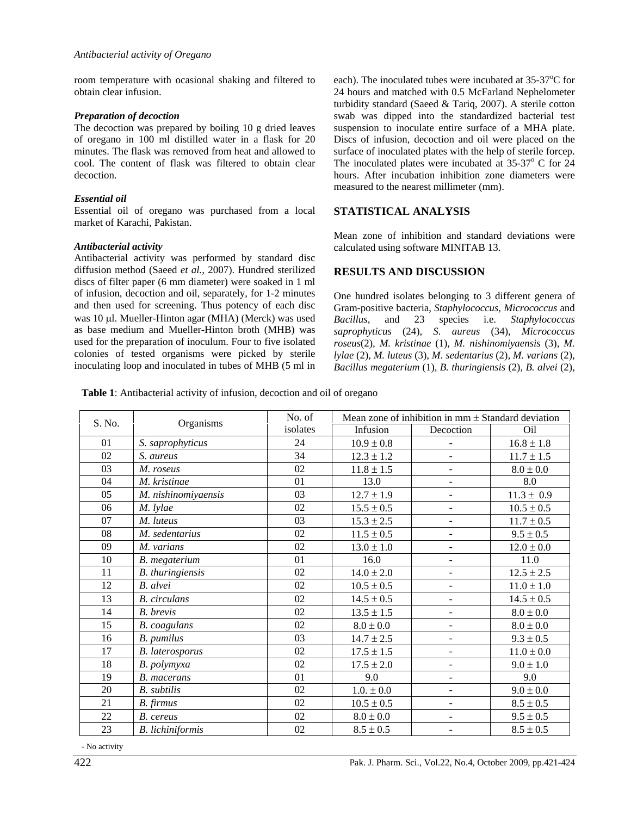room temperature with ocasional shaking and filtered to obtain clear infusion.

#### *Preparation of decoction*

The decoction was prepared by boiling 10 g dried leaves of oregano in 100 ml distilled water in a flask for 20 minutes. The flask was removed from heat and allowed to cool. The content of flask was filtered to obtain clear decoction.

## *Essential oil*

Essential oil of oregano was purchased from a local market of Karachi, Pakistan.

#### *Antibacterial activity*

Antibacterial activity was performed by standard disc diffusion method (Saeed *et al.,* 2007). Hundred sterilized discs of filter paper (6 mm diameter) were soaked in 1 ml of infusion, decoction and oil, separately, for 1-2 minutes and then used for screening. Thus potency of each disc was 10 µl. Mueller-Hinton agar (MHA) (Merck) was used as base medium and Mueller-Hinton broth (MHB) was used for the preparation of inoculum. Four to five isolated colonies of tested organisms were picked by sterile inoculating loop and inoculated in tubes of MHB (5 ml in

each). The inoculated tubes were incubated at 35-37°C for 24 hours and matched with 0.5 McFarland Nephelometer turbidity standard (Saeed & Tariq, 2007). A sterile cotton swab was dipped into the standardized bacterial test suspension to inoculate entire surface of a MHA plate. Discs of infusion, decoction and oil were placed on the surface of inoculated plates with the help of sterile forcep. The inoculated plates were incubated at  $35-37^{\circ}$  C for  $24$ hours. After incubation inhibition zone diameters were measured to the nearest millimeter (mm).

## **STATISTICAL ANALYSIS**

Mean zone of inhibition and standard deviations were calculated using software MINITAB 13.

## **RESULTS AND DISCUSSION**

One hundred isolates belonging to 3 different genera of Gram-positive bacteria, *Staphylococcus, Micrococcus* and *Bacillus,* and 23 species i.e. *Staphylococcus saprophyticus* (24)*, S. aureus* (34)*, Micrococcus roseus*(2)*, M. kristinae* (1)*, M. nishinomiyaensis* (3)*, M. lylae* (2)*, M. luteus* (3)*, M. sedentarius* (2)*, M. varians* (2)*, Bacillus megaterium* (1)*, B. thuringiensis* (2)*, B. alvei* (2)*,* 

**Table 1**: Antibacterial activity of infusion, decoction and oil of oregano

| S. No. | Organisms              | No. of   | Mean zone of inhibition in $mm \pm$ Standard deviation |                          |                |
|--------|------------------------|----------|--------------------------------------------------------|--------------------------|----------------|
|        |                        | isolates | Infusion                                               | Decoction                | Oil            |
| 01     | S. saprophyticus       | 24       | $10.9 \pm 0.8$                                         | $\blacksquare$           | $16.8 \pm 1.8$ |
| 02     | S. aureus              | 34       | $12.3 \pm 1.2$                                         | $\blacksquare$           | $11.7 \pm 1.5$ |
| 03     | M. roseus              | 02       | $11.8 \pm 1.5$                                         | ÷,                       | $8.0\pm0.0$    |
| 04     | M. kristinae           | 01       | 13.0                                                   | $\overline{\phantom{a}}$ | 8.0            |
| 05     | M. nishinomiyaensis    | 03       | $12.7 \pm 1.9$                                         | ÷,                       | $11.3 \pm 0.9$ |
| 06     | M. lylae               | 02       | $15.5 \pm 0.5$                                         | $\blacksquare$           | $10.5 \pm 0.5$ |
| 07     | M. luteus              | 03       | $15.3 \pm 2.5$                                         | $\overline{\phantom{0}}$ | $11.7 \pm 0.5$ |
| 08     | M. sedentarius         | 02       | $11.5 \pm 0.5$                                         | $\overline{\phantom{a}}$ | $9.5 \pm 0.5$  |
| 09     | M. varians             | 02       | $13.0 \pm 1.0$                                         | ÷,                       | $12.0 \pm 0.0$ |
| 10     | B. megaterium          | 01       | 16.0                                                   | $\Box$                   | 11.0           |
| 11     | B. thuringiensis       | 02       | $14.0 \pm 2.0$                                         | $\Box$                   | $12.5 \pm 2.5$ |
| 12     | B. alvei               | 02       | $10.5 \pm 0.5$                                         | $\Box$                   | $11.0 \pm 1.0$ |
| 13     | <b>B.</b> circulans    | 02       | $14.5 \pm 0.5$                                         | $\Box$                   | $14.5 \pm 0.5$ |
| 14     | B. brevis              | 02       | $13.5 \pm 1.5$                                         | $\blacksquare$           | $8.0\pm0.0$    |
| 15     | <b>B.</b> coagulans    | 02       | $8.0\pm0.0$                                            | $\blacksquare$           | $8.0\pm0.0$    |
| 16     | B. pumilus             | 03       | $14.7 \pm 2.5$                                         | $\blacksquare$           | $9.3 \pm 0.5$  |
| 17     | <b>B.</b> laterosporus | 02       | $17.5 \pm 1.5$                                         | $\Box$                   | $11.0 \pm 0.0$ |
| 18     | B. polymyxa            | 02       | $17.5 \pm 2.0$                                         | $\blacksquare$           | $9.0 \pm 1.0$  |
| 19     | <b>B.</b> macerans     | 01       | 9.0                                                    | $\blacksquare$           | 9.0            |
| 20     | <b>B.</b> subtilis     | 02       | $1.0. \pm 0.0$                                         | $\overline{\phantom{0}}$ | $9.0 \pm 0.0$  |
| 21     | B. firmus              | 02       | $10.5 \pm 0.5$                                         | $\overline{\phantom{0}}$ | $8.5 \pm 0.5$  |
| 22     | B. cereus              | $02\,$   | $8.0\pm0.0$                                            | ÷,                       | $9.5 \pm 0.5$  |
| 23     | B. lichiniformis       | 02       | $8.5 \pm 0.5$                                          | ÷,                       | $8.5 \pm 0.5$  |

- No activity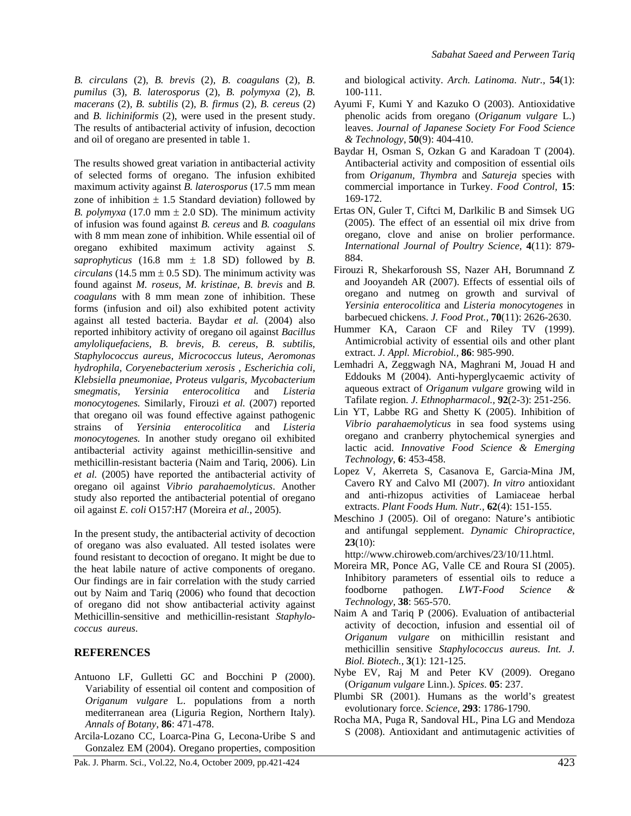*B. circulans* (2)*, B. brevis* (2)*, B. coagulans* (2)*, B. pumilus* (3)*, B. laterosporus* (2)*, B. polymyxa* (2)*, B. macerans* (2)*, B. subtilis* (2)*, B. firmus* (2)*, B. cereus* (2) and *B. lichiniformis* (2), were used in the present study. The results of antibacterial activity of infusion, decoction and oil of oregano are presented in table 1.

The results showed great variation in antibacterial activity of selected forms of oregano. The infusion exhibited maximum activity against *B. laterosporus* (17.5 mm mean zone of inhibition  $\pm$  1.5 Standard deviation) followed by *B. polymyxa* (17.0 mm  $\pm$  2.0 SD). The minimum activity of infusion was found against *B. cereus* and *B. coagulans* with 8 mm mean zone of inhibition. While essential oil of oregano exhibited maximum activity against *S. saprophyticus* (16.8 mm  $\pm$  1.8 SD) followed by *B*. *circulans* (14.5 mm  $\pm$  0.5 SD). The minimum activity was found against *M. roseus, M. kristinae, B. brevis* and *B. coagulans* with 8 mm mean zone of inhibition. These forms (infusion and oil) also exhibited potent activity against all tested bacteria. Baydar *et al.* (2004) also reported inhibitory activity of oregano oil against *Bacillus amyloliquefaciens, B. brevis, B. cereus, B. subtilis, Staphylococcus aureus, Micrococcus luteus, Aeromonas hydrophila, Coryenebacterium xerosis , Escherichia coli, Klebsiella pneumoniae, Proteus vulgaris, Mycobacterium smegmatis, Yersinia enterocolitica* and *Listeria monocytogenes.* Similarly, Firouzi *et al.* (2007) reported that oregano oil was found effective against pathogenic strains of *Yersinia enterocolitica* and *Listeria monocytogenes.* In another study oregano oil exhibited antibacterial activity against methicillin-sensitive and methicillin-resistant bacteria (Naim and Tariq, 2006). Lin *et al.* (2005) have reported the antibacterial activity of oregano oil against *Vibrio parahaemolyticus*. Another study also reported the antibacterial potential of oregano oil against *E. coli* O157:H7 (Moreira *et al.,* 2005).

In the present study, the antibacterial activity of decoction of oregano was also evaluated. All tested isolates were found resistant to decoction of oregano. It might be due to the heat labile nature of active components of oregano. Our findings are in fair correlation with the study carried out by Naim and Tariq (2006) who found that decoction of oregano did not show antibacterial activity against Methicillin-sensitive and methicillin-resistant *Staphylococcus aureus*.

## **REFERENCES**

- Antuono LF, Gulletti GC and Bocchini P (2000). Variability of essential oil content and composition of *Origanum vulgare* L. populations from a north mediterranean area (Liguria Region, Northern Italy). *Annals of Botany*, **86**: 471-478.
- Arcila-Lozano CC, Loarca-Pina G, Lecona-Uribe S and Gonzalez EM (2004). Oregano properties, composition

Pak. J. Pharm. Sci., Vol.22, No.4, October 2009, pp.421-424 423

and biological activity. *Arch. Latinoma. Nutr.,* **54**(1): 100-111.

- Ayumi F, Kumi Y and Kazuko O (2003). Antioxidative phenolic acids from oregano (*Origanum vulgare* L.) leaves. *Journal of Japanese Society For Food Science & Technology*, **50**(9): 404-410.
- Baydar H, Osman S, Ozkan G and Karadoan T (2004). Antibacterial activity and composition of essential oils from *Origanum, Thymbra* and *Satureja* species with commercial importance in Turkey. *Food Control,* **15**: 169-172.
- Ertas ON, Guler T, Ciftci M, Darlkilic B and Simsek UG (2005). The effect of an essential oil mix drive from oregano, clove and anise on brolier performance. *International Journal of Poultry Science,* **4**(11): 879- 884.
- Firouzi R, Shekarforoush SS, Nazer AH, Borumnand Z and Jooyandeh AR (2007). Effects of essential oils of oregano and nutmeg on growth and survival of *Yersinia enterocolitica* and *Listeria monocytogenes* in barbecued chickens. *J. Food Prot.,* **70**(11): 2626-2630.
- Hummer KA, Caraon CF and Riley TV (1999). Antimicrobial activity of essential oils and other plant extract. *J. Appl. Microbiol.,* **86**: 985-990.
- Lemhadri A, Zeggwagh NA, Maghrani M, Jouad H and Eddouks M (2004). Anti-hyperglycaemic activity of aqueous extract of *Origanum vulgare* growing wild in Tafilate region. *J. Ethnopharmacol.,* **92**(2-3): 251-256.
- Lin YT, Labbe RG and Shetty K (2005). Inhibition of *Vibrio parahaemolyticus* in sea food systems using oregano and cranberry phytochemical synergies and lactic acid. *Innovative Food Science & Emerging Technology*, **6**: 453-458.
- Lopez V, Akerreta S, Casanova E, Garcia-Mina JM, Cavero RY and Calvo MI (2007). *In vitro* antioxidant and anti-rhizopus activities of Lamiaceae herbal extracts. *Plant Foods Hum. Nutr.,* **62**(4): 151-155.
- Meschino J (2005). Oil of oregano: Nature's antibiotic and antifungal sepplement. *Dynamic Chiropractice*, **23**(10):

http://www.chiroweb.com/archives/23/10/11.html.

- Moreira MR, Ponce AG, Valle CE and Roura SI (2005). Inhibitory parameters of essential oils to reduce a foodborne pathogen. *LWT-Food Science & Technology,* **38**: 565-570.
- Naim A and Tariq P (2006). Evaluation of antibacterial activity of decoction, infusion and essential oil of *Origanum vulgare* on mithicillin resistant and methicillin sensitive *Staphylococcus aureus. Int. J. Biol. Biotech.,* **3**(1): 121-125.
- Nybe EV, Raj M and Peter KV (2009). Oregano (O*riganum vulgare* Linn.). *Spices*. **05**: 237.
- Plumbi SR (2001). Humans as the world's greatest evolutionary force. *Science*, **293**: 1786-1790.
- Rocha MA, Puga R, Sandoval HL, Pina LG and Mendoza S (2008). Antioxidant and antimutagenic activities of